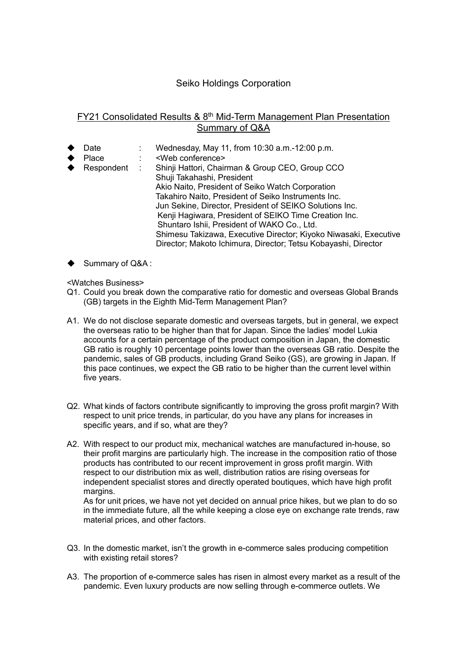## Seiko Holdings Corporation

## FY21 Consolidated Results & 8<sup>th</sup> Mid-Term Management Plan Presentation Summary of Q&A

- Date : Wednesday, May 11, from 10:30 a.m.-12:00 p.m.
- ◆ Place : <Web conference><br>◆ Respondent : Shinji Hattori, Chair
- Shinji Hattori, Chairman & Group CEO, Group CCO Shuji Takahashi, President Akio Naito, President of Seiko Watch Corporation Takahiro Naito, President of Seiko Instruments Inc. Jun Sekine, Director, President of SEIKO Solutions Inc. Kenji Hagiwara, President of SEIKO Time Creation Inc. Shuntaro Ishii, President of WAKO Co., Ltd. Shimesu Takizawa, Executive Director; Kiyoko Niwasaki, Executive Director; Makoto Ichimura, Director; Tetsu Kobayashi, Director
- Summary of Q&A :

<Watches Business>

- Q1. Could you break down the comparative ratio for domestic and overseas Global Brands (GB) targets in the Eighth Mid-Term Management Plan?
- A1. We do not disclose separate domestic and overseas targets, but in general, we expect the overseas ratio to be higher than that for Japan. Since the ladies' model Lukia accounts for a certain percentage of the product composition in Japan, the domestic GB ratio is roughly 10 percentage points lower than the overseas GB ratio. Despite the pandemic, sales of GB products, including Grand Seiko (GS), are growing in Japan. If this pace continues, we expect the GB ratio to be higher than the current level within five years.
- Q2. What kinds of factors contribute significantly to improving the gross profit margin? With respect to unit price trends, in particular, do you have any plans for increases in specific years, and if so, what are they?
- A2. With respect to our product mix, mechanical watches are manufactured in-house, so their profit margins are particularly high. The increase in the composition ratio of those products has contributed to our recent improvement in gross profit margin. With respect to our distribution mix as well, distribution ratios are rising overseas for independent specialist stores and directly operated boutiques, which have high profit margins.

As for unit prices, we have not yet decided on annual price hikes, but we plan to do so in the immediate future, all the while keeping a close eye on exchange rate trends, raw material prices, and other factors.

- Q3. In the domestic market, isn't the growth in e-commerce sales producing competition with existing retail stores?
- A3. The proportion of e-commerce sales has risen in almost every market as a result of the pandemic. Even luxury products are now selling through e-commerce outlets. We